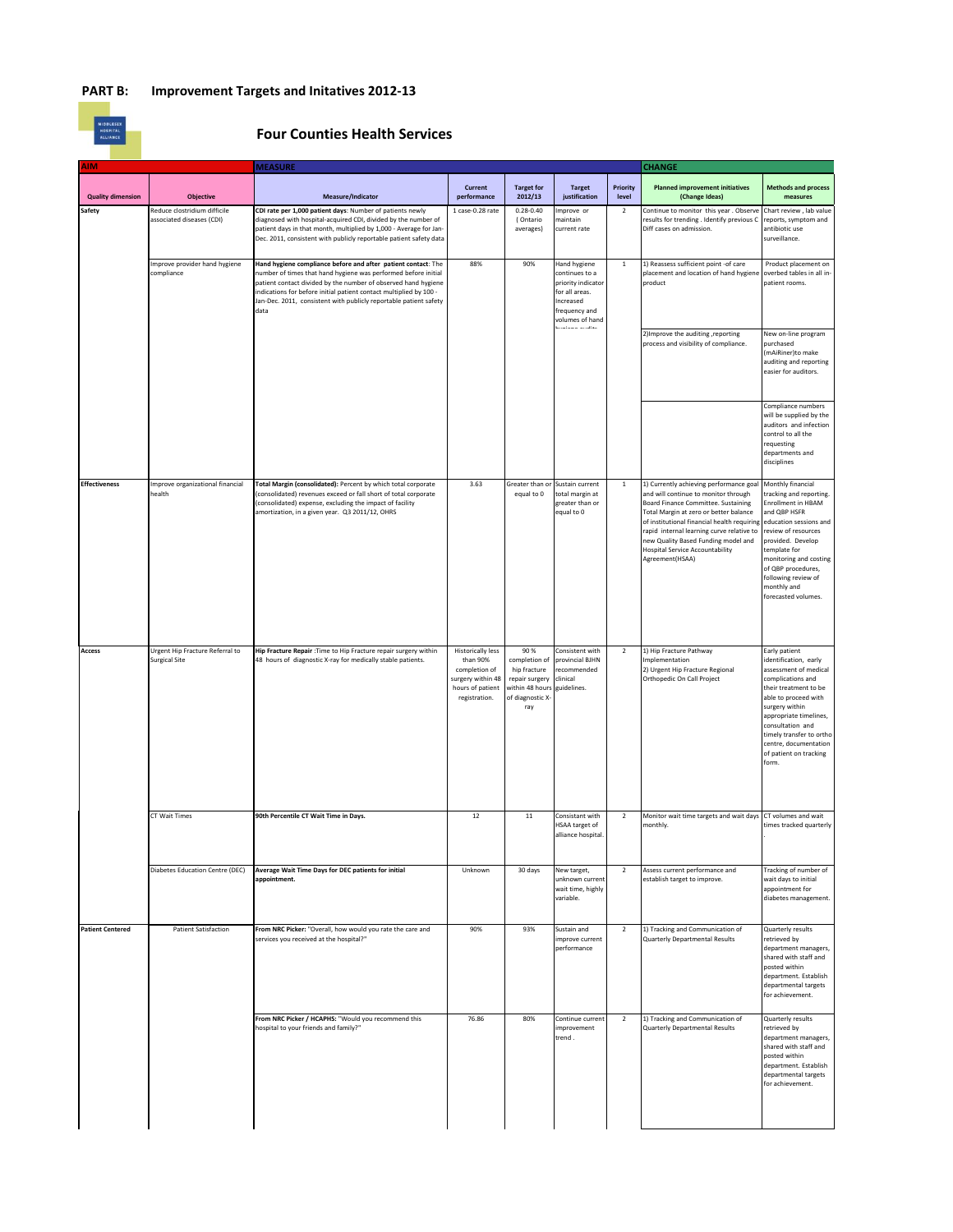## **PART B: Improvement Targets and Initatives 2012-13**

| <b>MIDDLESEX</b> |
|------------------|
| <b>HOSPITAL</b>  |

## **Four Counties Health Services**

| <b>AIM</b>               |                                                           | <b>MEASURE</b>                                                                                                                                                                                                                                                                                                                                       |                                                                                                                 |                                                                                                       |                                                                                                                     |                   | <b>CHANGE</b>                                                                                                                                                                                                                                                                                                                                                    |                                                                                                                                                                                                                                                                                               |
|--------------------------|-----------------------------------------------------------|------------------------------------------------------------------------------------------------------------------------------------------------------------------------------------------------------------------------------------------------------------------------------------------------------------------------------------------------------|-----------------------------------------------------------------------------------------------------------------|-------------------------------------------------------------------------------------------------------|---------------------------------------------------------------------------------------------------------------------|-------------------|------------------------------------------------------------------------------------------------------------------------------------------------------------------------------------------------------------------------------------------------------------------------------------------------------------------------------------------------------------------|-----------------------------------------------------------------------------------------------------------------------------------------------------------------------------------------------------------------------------------------------------------------------------------------------|
| <b>Quality dimension</b> | <b>Objective</b>                                          | Measure/Indicator                                                                                                                                                                                                                                                                                                                                    | Current<br>performance                                                                                          | <b>Target for</b><br>2012/13                                                                          | <b>Target</b><br>justification                                                                                      | Priority<br>level | <b>Planned improvement initiatives</b><br>(Change Ideas)                                                                                                                                                                                                                                                                                                         | <b>Methods and process</b><br>measures                                                                                                                                                                                                                                                        |
| Safety                   | Reduce clostridium difficile<br>associated diseases (CDI) | CDI rate per 1,000 patient days: Number of patients newly<br>diagnosed with hospital-acquired CDI, divided by the number of<br>patient days in that month, multiplied by 1,000 - Average for Jan-<br>Dec. 2011, consistent with publicly reportable patient safety data                                                                              | 1 case-0.28 rate                                                                                                | $0.28 - 0.40$<br>(Ontario<br>averages)                                                                | mprove or<br>naintain<br>current rate                                                                               | $\overline{2}$    | Continue to monitor this year. Observe<br>results for trending . Identify previous C<br>Diff cases on admission.                                                                                                                                                                                                                                                 | Chart review, lab value<br>reports, symptom and<br>antibiotic use<br>surveillance.                                                                                                                                                                                                            |
|                          | mprove provider hand hygiene<br>compliance                | Hand hygiene compliance before and after patient contact: The<br>number of times that hand hygiene was performed before initial<br>patient contact divided by the number of observed hand hygiene<br>indications for before initial patient contact multiplied by 100 -<br>Jan-Dec. 2011, consistent with publicly reportable patient safety<br>data | 88%                                                                                                             | 90%                                                                                                   | Hand hygiene<br>ontinues to a<br>priority indicator<br>or all areas.<br>ncreased<br>requency and<br>volumes of hand | $\mathbf{1}$      | 1) Reassess sufficient point -of care<br>placement and location of hand hygiene<br>product                                                                                                                                                                                                                                                                       | Product placement on<br>overbed tables in all in-<br>patient rooms.                                                                                                                                                                                                                           |
|                          |                                                           |                                                                                                                                                                                                                                                                                                                                                      |                                                                                                                 |                                                                                                       |                                                                                                                     |                   | 2) Improve the auditing , reporting<br>process and visibility of compliance.                                                                                                                                                                                                                                                                                     | New on-line program<br>purchased<br>(mAiRiner)to make<br>auditing and reporting<br>easier for auditors.                                                                                                                                                                                       |
|                          |                                                           |                                                                                                                                                                                                                                                                                                                                                      |                                                                                                                 |                                                                                                       |                                                                                                                     |                   |                                                                                                                                                                                                                                                                                                                                                                  | Compliance numbers<br>will be supplied by the<br>auditors and infection<br>control to all the<br>requesting<br>departments and<br>disciplines                                                                                                                                                 |
| <b>Effectiveness</b>     | mprove organizational financial<br>health                 | Total Margin (consolidated): Percent by which total corporate<br>(consolidated) revenues exceed or fall short of total corporate<br>(consolidated) expense, excluding the impact of facility<br>amortization, in a given year. Q3 2011/12, OHRS                                                                                                      | 3.63                                                                                                            | Greater than or<br>equal to 0                                                                         | Sustain current<br>total margin at<br>greater than or<br>equal to 0                                                 | $\mathbf{1}$      | 1) Currently achieving performance goal<br>and will continue to monitor through<br>Board Finance Committee. Sustaining<br>Total Margin at zero or better balance<br>of institutional financial health requiring<br>rapid internal learning curve relative to<br>new Quality Based Funding model and<br><b>Hospital Service Accountability</b><br>Agreement(HSAA) | Monthly financial<br>tracking and reporting.<br>Enrollment in HBAM<br>and QBP HSFR<br>education sessions and<br>review of resources<br>provided. Develop<br>template for<br>monitoring and costing<br>of QBP procedures,<br>following review of<br>monthly and<br>forecasted volumes.         |
| Access                   | Urgent Hip Fracture Referral to<br><b>Surgical Site</b>   | Hip Fracture Repair : Time to Hip Fracture repair surgery within<br>48 hours of diagnostic X-ray for medically stable patients.                                                                                                                                                                                                                      | <b>Historically less</b><br>than 90%<br>completion of<br>surgery within 48<br>hours of patient<br>registration. | 90 %<br>completion of<br>hip fracture<br>repair surgery<br>within 48 hours<br>of diagnostic X-<br>ray | Consistent with<br>provincial BJHN<br>recommended<br>clinical<br>guidelines.                                        | $\overline{2}$    | 1) Hip Fracture Pathway<br>Implementation<br>2) Urgent Hip Fracture Regional<br>Orthopedic On Call Project                                                                                                                                                                                                                                                       | Early patient<br>identification, early<br>assessment of medical<br>complications and<br>their treatment to be<br>able to proceed with<br>surgery within<br>appropriate timelines,<br>consultation and<br>timely transfer to ortho<br>centre, documentation<br>of patient on tracking<br>form. |
|                          | CT Wait Times                                             | 90th Percentile CT Wait Time in Days.                                                                                                                                                                                                                                                                                                                | 12                                                                                                              | $11\,$                                                                                                | Consistant with<br>HSAA target of<br>alliance hospital                                                              | $\overline{2}$    | Monitor wait time targets and wait days<br>monthly.                                                                                                                                                                                                                                                                                                              | CT volumes and wait<br>times tracked quarterly                                                                                                                                                                                                                                                |
|                          | Diabetes Education Centre (DEC)                           | Average Wait Time Days for DEC patients for initial<br>appointment.                                                                                                                                                                                                                                                                                  | Unknown                                                                                                         | 30 days                                                                                               | New target,<br>unknown current<br>wait time, highly<br>variable.                                                    | $\overline{2}$    | Assess current performance and<br>establish target to improve.                                                                                                                                                                                                                                                                                                   | Tracking of number of<br>wait days to initial<br>appointment for<br>diabetes management.                                                                                                                                                                                                      |
| <b>Patient Centered</b>  | <b>Patient Satisfaction</b>                               | From NRC Picker: "Overall, how would you rate the care and<br>services you received at the hospital?"                                                                                                                                                                                                                                                | 90%                                                                                                             | 93%                                                                                                   | Sustain and<br>improve current<br>performance                                                                       | $\overline{2}$    | 1) Tracking and Communication of<br><b>Quarterly Departmental Results</b>                                                                                                                                                                                                                                                                                        | Quarterly results<br>retrieved by<br>department managers,<br>shared with staff and<br>posted within<br>department. Establish<br>departmental targets<br>for achievement.                                                                                                                      |
|                          |                                                           | From NRC Picker / HCAPHS: "Would you recommend this<br>hospital to your friends and family?"                                                                                                                                                                                                                                                         | 76.86                                                                                                           | 80%                                                                                                   | Continue current<br>improvement<br>trend.                                                                           | $\mathbf 2$       | 1) Tracking and Communication of<br>Quarterly Departmental Results                                                                                                                                                                                                                                                                                               | Quarterly results<br>retrieved by<br>department managers,<br>shared with staff and<br>posted within<br>department. Establish<br>departmental targets<br>for achievement.                                                                                                                      |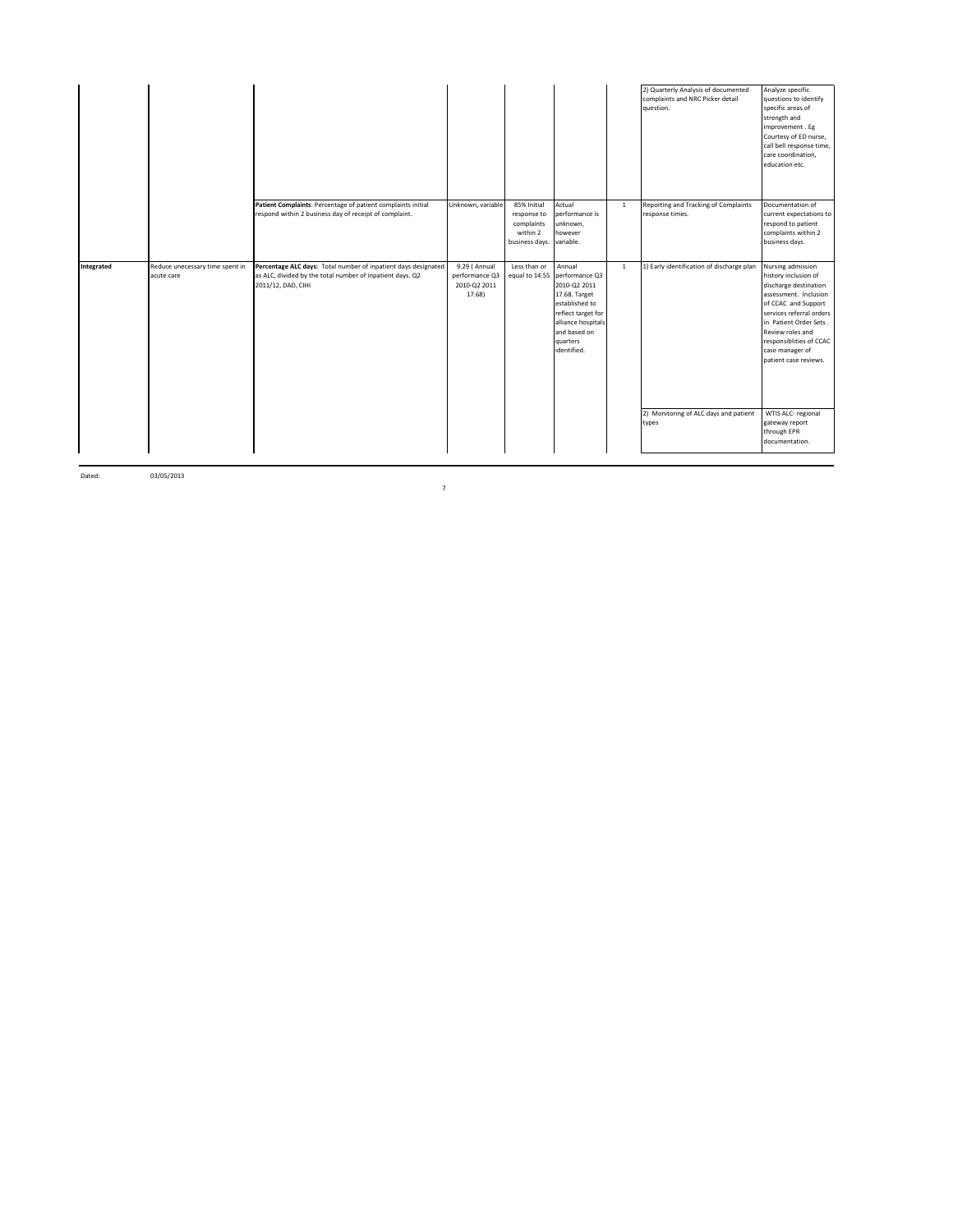|            |                                               |                                                                                                                                                   |                                                           |                                                                                  |                                                                                                                                                                                   |              | 2) Quarterly Analysis of documented<br>complaints and NRC Picker detail<br>question. | Analyze specific<br>questions to identify<br>specific areas of<br>strength and<br>improvement. Eg<br>Courtesy of ED nurse,<br>call bell response time,<br>care coordination,<br>education etc.                                                                      |
|------------|-----------------------------------------------|---------------------------------------------------------------------------------------------------------------------------------------------------|-----------------------------------------------------------|----------------------------------------------------------------------------------|-----------------------------------------------------------------------------------------------------------------------------------------------------------------------------------|--------------|--------------------------------------------------------------------------------------|---------------------------------------------------------------------------------------------------------------------------------------------------------------------------------------------------------------------------------------------------------------------|
|            |                                               | Patient Complaints: Percentage of patient complaints initial<br>respond within 2 business day of receipt of complaint.                            | Unknown, variable                                         | 85% Initial<br>response to<br>complaints<br>within 2<br>business days. variable. | Actual<br>performance is<br>unknown,<br>however                                                                                                                                   | $\mathbf{1}$ | Reporting and Tracking of Complaints<br>response times.                              | Documentation of<br>current expectations to<br>respond to patient<br>complaints within 2<br>business days.                                                                                                                                                          |
| Integrated | Reduce unecessary time spent in<br>acute care | Percentage ALC days: Total number of inpatient days designated<br>as ALC, divided by the total number of inpatient days. Q2<br>2011/12, DAD, CIHI | 9.29 ( Annual<br>performance Q3<br>2010-Q2 2011<br>17.68) | Less than or                                                                     | Annual<br>equal to 14.55 performance Q3<br>2010-Q2 2011<br>17.68. Target<br>established to<br>reflect target for<br>alliance hospitals<br>and based on<br>quarters<br>identified. | $\mathbf{1}$ | 1) Early identification of discharge plan                                            | Nursing admission<br>history inclusion of<br>discharge destination<br>assessment. Inclusion<br>of CCAC and Support<br>services referral orders<br>in Patient Order Sets.<br>Review roles and<br>responsiblities of CCAC<br>case manager of<br>patient case reviews. |
|            |                                               |                                                                                                                                                   |                                                           |                                                                                  |                                                                                                                                                                                   |              | 2) Monitoring of ALC days and patient<br>types                                       | WTIS ALC- regional<br>gateway report<br>through EPR<br>documentation.                                                                                                                                                                                               |

Dated: 03/05/2013

7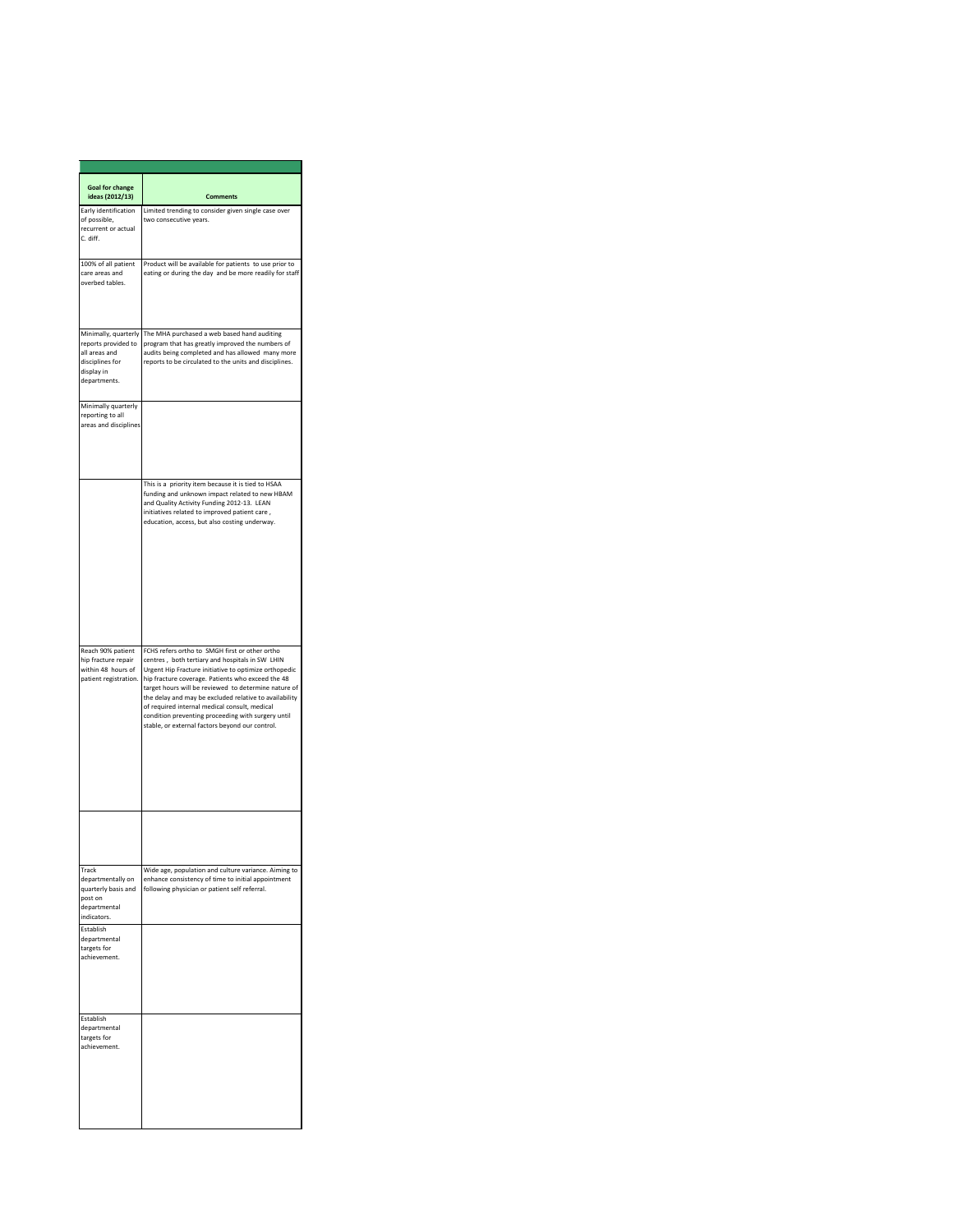| <b>Goal for change</b><br>ideas (2012/13)                                                                     | <b>Comments</b>                                                                                                                                                                                                                                                                                                                                                                                                                                                                             |
|---------------------------------------------------------------------------------------------------------------|---------------------------------------------------------------------------------------------------------------------------------------------------------------------------------------------------------------------------------------------------------------------------------------------------------------------------------------------------------------------------------------------------------------------------------------------------------------------------------------------|
| Early identification<br>of possible,<br>recurrent or actual<br>C. diff.                                       | Limited trending to consider given single case over<br>two consecutive years.                                                                                                                                                                                                                                                                                                                                                                                                               |
| 100% of all patient<br>care areas and<br>overbed tables.                                                      | Product will be available for patients to use prior to<br>eating or during the day and be more readily for staff                                                                                                                                                                                                                                                                                                                                                                            |
| Minimally, quarterly<br>reports provided to<br>all areas and<br>disciplines for<br>display in<br>departments. | The MHA purchased a web based hand auditing<br>program that has greatly improved the numbers of<br>audits being completed and has allowed many more<br>reports to be circulated to the units and disciplines.                                                                                                                                                                                                                                                                               |
| Minimally quarterly<br>reporting to all<br>areas and disciplines                                              |                                                                                                                                                                                                                                                                                                                                                                                                                                                                                             |
|                                                                                                               | This is a priority item because it is tied to HSAA<br>funding and unknown impact related to new HBAM<br>and Quality Activity Funding 2012-13. LEAN<br>initiatives related to improved patient care,<br>education, access, but also costing underway.                                                                                                                                                                                                                                        |
| Reach 90% patient<br>hip fracture repair<br>within 48 hours of<br>patient registration.                       | FCHS refers ortho to SMGH first or other ortho<br>centres, both tertiary and hospitals in SW LHIN<br>Urgent Hip Fracture initiative to optimize orthopedic<br>hip fracture coverage. Patients who exceed the 48<br>target hours will be reviewed to determine nature of<br>the delay and may be excluded relative to availability<br>of required internal medical consult, medical<br>condition preventing proceeding with surgery until<br>stable, or external factors beyond our control. |
|                                                                                                               |                                                                                                                                                                                                                                                                                                                                                                                                                                                                                             |
| Track<br>departmentally on<br>quarterly basis and<br>post on<br>departmental<br>indicators.                   | Wide age, population and culture variance. Aiming to<br>enhance consistency of time to initial appointment<br>following physician or patient self referral.                                                                                                                                                                                                                                                                                                                                 |
| Establish<br>departmental<br>targets for<br>achievement.                                                      |                                                                                                                                                                                                                                                                                                                                                                                                                                                                                             |
| Establish<br>departmental<br>targets for<br>achievement.                                                      |                                                                                                                                                                                                                                                                                                                                                                                                                                                                                             |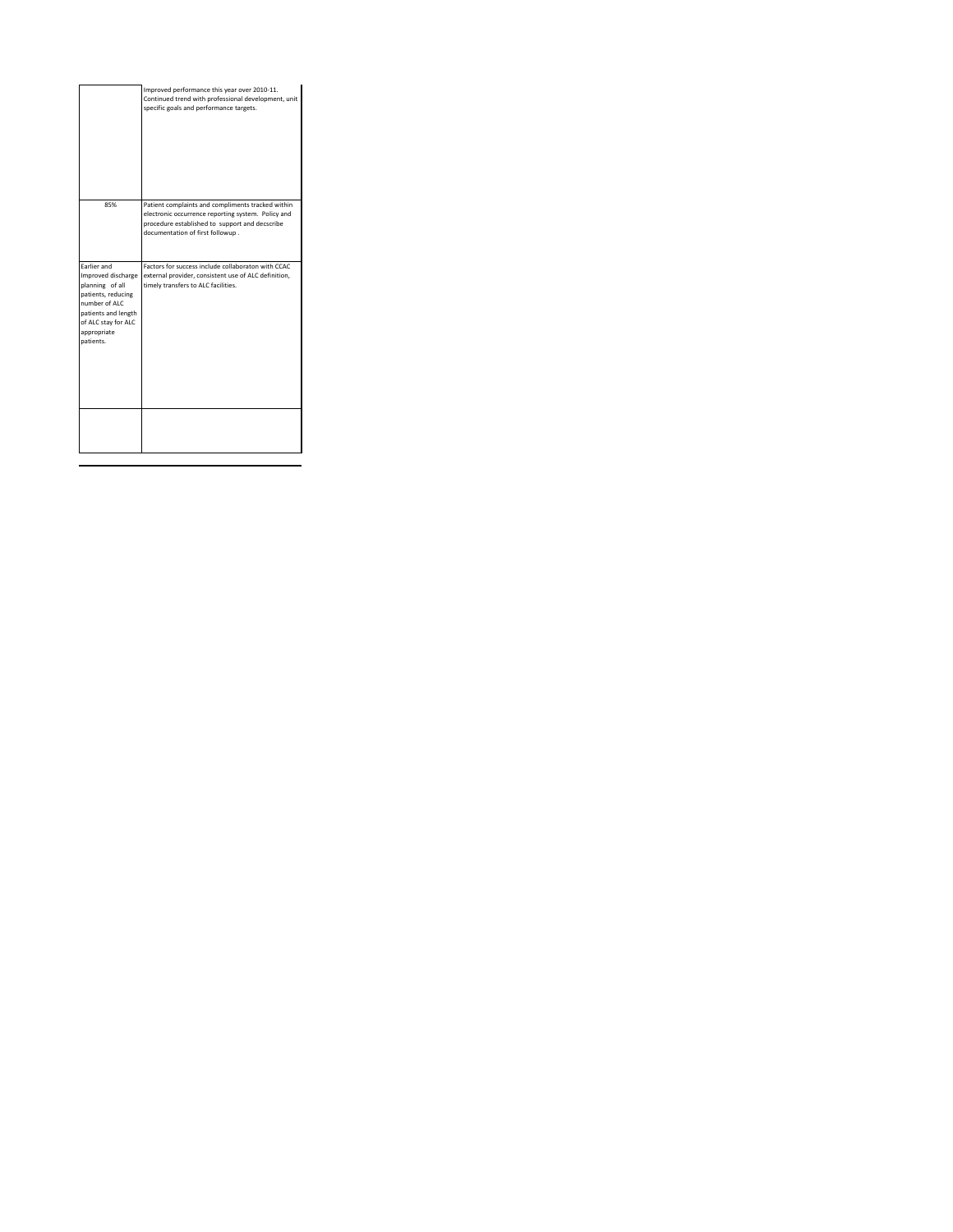|                                                                                                                                                                              | Improved performance this year over 2010-11.<br>Continued trend with professional development, unit<br>specific goals and performance targets.                                                |
|------------------------------------------------------------------------------------------------------------------------------------------------------------------------------|-----------------------------------------------------------------------------------------------------------------------------------------------------------------------------------------------|
| 85%                                                                                                                                                                          | Patient complaints and compliments tracked within<br>electronic occurrence reporting system. Policy and<br>procedure established to support and decscribe<br>documentation of first followup. |
| <b>Farlier and</b><br>Improved discharge<br>planning of all<br>patients, reducing<br>number of ALC<br>patients and length<br>of ALC stay for ALC<br>appropriate<br>natients. | Factors for success include collaboraton with CCAC<br>external provider, consistent use of ALC definition.<br>timely transfers to ALC facilities.                                             |
|                                                                                                                                                                              |                                                                                                                                                                                               |